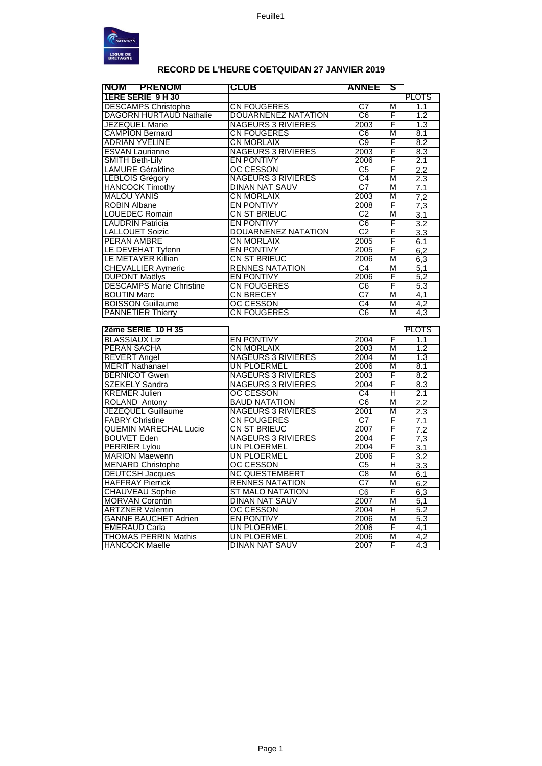

## RECORD DE L'HEURE COETQUIDAN 27 JANVIER 2019

| NOM PRENOM                                           | CLUB                                 | <b>ANNEE</b>           | S                       |                  |
|------------------------------------------------------|--------------------------------------|------------------------|-------------------------|------------------|
| <b>1ERE SERIE 9 H 30</b>                             |                                      |                        |                         | <b>PLOTS</b>     |
| <b>DESCAMPS Christophe</b>                           | <b>CN FOUGERES</b>                   | C7                     | M                       | 1.1              |
| <b>DAGORN HURTAUD Nathalie</b>                       | <b>DOUARNENEZ NATATION</b>           | $\overline{C6}$        | F                       | 1.2              |
| <b>JEZEQUEL Marie</b>                                | <b>NAGEURS 3 RIVIERES</b>            | 2003                   | F                       | 1.3              |
| <b>CAMPION Bernard</b>                               | <b>CN FOUGERES</b>                   | C <sub>6</sub>         | M                       | 8.1              |
| <b>ADRIAN YVELINE</b>                                | <b>CN MORLAIX</b>                    | C9                     | F                       | 8.2              |
| <b>ESVAN Laurianne</b>                               | <b>NAGEURS 3 RIVIERES</b>            | 2003                   | F                       | 8.3              |
| <b>SMITH Beth-Lily</b>                               | <b>EN PONTIVY</b>                    | 2006                   | F                       | 2.1              |
| <b>LAMURE Géraldine</b>                              | <b>OC CESSON</b>                     | C <sub>5</sub>         | F                       | 2.2              |
| <b>LEBLOIS Grégory</b>                               | <b>NAGEURS 3 RIVIERES</b>            | C4                     | M                       | 2.3              |
| <b>HANCOCK Timothy</b>                               | <b>DINAN NAT SAUV</b>                | $\overline{\text{C7}}$ | M                       | 7.1              |
| <b>MALOU YANIS</b>                                   | <b>CN MORLAIX</b>                    | 2003                   | M                       | 7,2              |
| <b>ROBIN Albane</b>                                  | <b>EN PONTIVY</b>                    | 2008                   | F                       | 7,3              |
| <b>LOUEDEC Romain</b>                                | CN ST BRIEUC                         | $\overline{C2}$        | M                       | $\overline{3.1}$ |
| <b>LAUDRIN Patricia</b>                              | <b>EN PONTIVY</b>                    | $\overline{C6}$        | F                       | $\overline{3.2}$ |
| <b>LALLOUET Soizic</b>                               | <b>DOUARNENEZ NATATION</b>           | C <sub>2</sub>         | F                       | 3.3              |
| <b>PERAN AMBRE</b>                                   | <b>CN MORLAIX</b>                    | 2005                   | F                       | 6.1              |
| LE DEVEHAT Tyfenn                                    | <b>EN PONTIVY</b>                    | 2005                   | F                       | 6,2              |
| <b>LE METAYER Killian</b>                            | CN ST BRIEUC                         | 2006                   | M                       | 6,3              |
| <b>CHEVALLIER Aymeric</b>                            | <b>RENNES NATATION</b>               | C4                     | M                       | 5,1              |
| <b>DUPONT Maëlys</b>                                 | <b>EN PONTIVY</b>                    | 2006                   | F                       | 5,2              |
| <b>DESCAMPS Marie Christine</b>                      | <b>CN FOUGERES</b>                   | C6                     | F                       | 5.3              |
| <b>BOUTIN Marc</b>                                   | <b>CN BRECEY</b>                     | $\overline{\text{C7}}$ | M                       | 4,1              |
| <b>BOISSON Guillaume</b>                             | <b>OC CESSON</b>                     | $\overline{C4}$        | M                       | $\overline{4,2}$ |
| <b>PANNETIER Thierry</b>                             | <b>CN FOUGERES</b>                   | $\overline{C6}$        | M                       | 4,3              |
|                                                      |                                      |                        |                         |                  |
|                                                      |                                      |                        |                         |                  |
| 2ème SERIE 10 H 35                                   |                                      |                        |                         | <b>PLOTS</b>     |
| <b>BLASSIAUX Liz</b>                                 | <b>EN PONTIVY</b>                    | 2004                   | F                       | 1.1              |
| <b>PERAN SACHA</b>                                   | <b>CN MORLAIX</b>                    | 2003                   | M                       | 1.2              |
| <b>REVERT Angel</b>                                  | <b>NAGEURS 3 RIVIERES</b>            | 2004                   | M                       | 1.3              |
| <b>MERIT Nathanael</b>                               | UN PLOERMEL                          | 2006                   | M                       | 8.1              |
| <b>BERNICOT Gwen</b>                                 | <b>NAGEURS 3 RIVIERES</b>            | 2003                   | F                       | 8.2              |
| <b>SZEKELY Sandra</b>                                | <b>NAGEURS 3 RIVIERES</b>            | 2004                   | F                       | 8.3              |
| <b>KREMER Julien</b>                                 | OC CESSON                            | $\overline{C4}$        | н                       | $\overline{2.1}$ |
| <b>ROLAND Antony</b>                                 | <b>BAUD NATATION</b>                 | C6                     | M                       | 2.2              |
| JEZEQUEL Guillaume                                   | <b>NAGEURS 3 RIVIERES</b>            | 2001                   | M                       | 2.3              |
| <b>FABRY Christine</b>                               | <b>CN FOUGERES</b>                   | $\overline{C7}$        | F                       | $\overline{7.1}$ |
| <b>QUEMIN MARECHAL Lucie</b>                         | CN ST BRIEUC                         | 2007                   | F                       | 7.2              |
| <b>BOUVET Eden</b>                                   | <b>NAGEURS 3 RIVIERES</b>            | 2004                   | F                       | 7,3              |
| <b>PERRIER Lylou</b>                                 | UN PLOERMEL                          | 2004                   | F                       | 3.1              |
| <b>MARION Maewenn</b>                                | UN PLOERMEL                          | 2006                   | F                       | 3.2              |
|                                                      | <b>OC CESSON</b>                     | $\overline{\text{C5}}$ | Η                       |                  |
| <b>MENARD Christophe</b><br><b>DEUTCSH Jacques</b>   | <b>NC QUESTEMBERT</b>                | $\overline{C8}$        | M                       | 3.3<br>6.1       |
| <b>HAFFRAY Pierrick</b>                              | <b>RENNES NATATION</b>               | $\overline{C7}$        | M                       |                  |
| <b>CHAUVEAU Sophie</b>                               | <b>ST MALO NATATION</b>              | C6                     | F                       | 6.2<br>6,3       |
| <b>MORVAN Corentin</b>                               | <b>DINAN NAT SAUV</b>                | 2007                   | M                       | 5,1              |
| <b>ARTZNER Valentin</b>                              | <b>OC CESSON</b>                     | 2004                   | $\overline{\mathsf{H}}$ | 5.2              |
| <b>GANNE BAUCHET Adrien</b>                          | <b>EN PONTIVY</b>                    | 2006                   | M                       | 5.3              |
| <b>EMERAUD Carla</b>                                 | <b>UN PLOERMEL</b>                   | 2006                   | F                       | 4,1              |
| <b>THOMAS PERRIN Mathis</b><br><b>HANCOCK Maelle</b> | UN PLOERMEL<br><b>DINAN NAT SAUV</b> | 2006<br>2007           | M<br>F                  | 4,2<br>4.3       |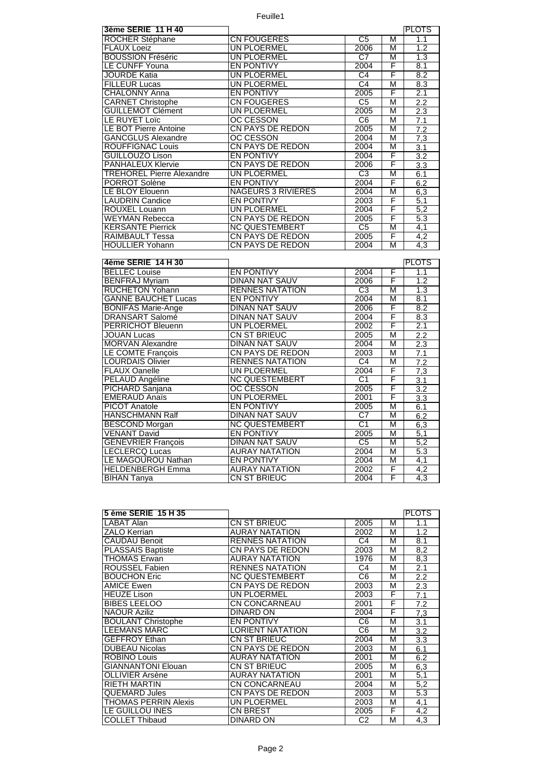Feuille1

| 3ème SERIE 11 H 40                            |                                              |                        |        | <b>PLOTS</b>     |
|-----------------------------------------------|----------------------------------------------|------------------------|--------|------------------|
| ROCHER Stéphane                               | <b>CN FOUGERES</b>                           | C <sub>5</sub>         | м      | 1.1              |
| <b>FLAUX Loeiz</b>                            | <b>UN PLOERMEL</b>                           | 2006                   | М      | 1.2              |
| <b>BOUSSION Fréséric</b>                      | UN PLOERMEL                                  | C7                     | М      | 1.3              |
| LE CUNFF Youna                                | <b>EN PONTIVY</b>                            | 2004                   | F      | 8.1              |
| <b>JOURDE Katia</b>                           | UN PLOERMEL                                  | C4                     | F      | 8.2              |
| <b>FILLEUR Lucas</b>                          | <b>UN PLOERMEL</b>                           | C <sub>4</sub>         | М      | 8.3              |
| <b>CHALONNY Anna</b>                          | <b>EN PONTIVY</b>                            | 2005                   | F      | 2.1              |
| <b>CARNET Christophe</b>                      | <b>CN FOUGERES</b>                           | C <sub>5</sub>         | M      | 2.2              |
| <b>GUILLEMOT Clément</b>                      | UN PLOERMEL                                  | 2005                   | М      | 2.3              |
| LE RUYET Loïc                                 | <b>OC CESSON</b>                             | C6                     | М      | 7.1              |
| LE BOT Pierre Antoine                         | <b>CN PAYS DE REDON</b>                      | 2005                   | М      | 7.2              |
| <b>GANCGLUS Alexandre</b>                     | OC CESSON                                    | 2004                   | М      | 7,3              |
| ROUFFIGNAC Louis                              | <b>CN PAYS DE REDON</b>                      | 2004                   | М      | $\overline{3.1}$ |
| <b>GUILLOUZO Lison</b>                        | <b>EN PONTIVY</b>                            | 2004                   | F      | $\overline{3.2}$ |
| <b>PANHALEUX Klervie</b>                      | <b>CN PAYS DE REDON</b>                      | 2006                   | F      | 3.3              |
| <b>TREHOREL Pierre Alexandre</b>              | UN PLOERMEL                                  | C3                     | М      | 6.1              |
| PORROT Solène                                 | <b>EN PONTIVY</b>                            | 2004                   | F      | 6.2              |
| LE BLOY Elouenn                               | <b>NAGEURS 3 RIVIERES</b>                    | 2004                   | М      | 6,3              |
| <b>LAUDRIN Candice</b>                        | <b>EN PONTIVY</b>                            | 2003                   | F      | 5,1              |
| <b>ROUXEL Louann</b>                          | UN PLOERMEL                                  | 2004                   | F      | 5,2              |
| <b>WEYMAN Rebecca</b>                         | <b>CN PAYS DE REDON</b>                      | 2005                   | F      | 5.3              |
| <b>KERSANTE Pierrick</b>                      | <b>NC QUESTEMBERT</b>                        | $\overline{C5}$        | М      | 4,1              |
| RAIMBAULT Tessa                               | <b>CN PAYS DE REDON</b>                      | 2005                   | F      | 4,2              |
| <b>HOULLIER Yohann</b>                        | <b>CN PAYS DE REDON</b>                      | 2004                   | M      | $\overline{4,3}$ |
|                                               |                                              |                        |        |                  |
|                                               |                                              |                        |        |                  |
|                                               |                                              |                        |        |                  |
| 4ème SERIE 14 H 30                            |                                              |                        |        | <b>PLOTS</b>     |
| <b>BELLEC</b> Louise                          | <b>EN PONTIVY</b>                            | 2004                   | F<br>F | 1.1<br>1.2       |
| <b>BENFRAJ Myriam</b>                         | <b>DINAN NAT SAUV</b>                        | 2006                   |        |                  |
| <b>RUCHETON Yohann</b>                        | <b>RENNES NATATION</b>                       | $\overline{C3}$        | М      | 1.3              |
| <b>GANNE BAUCHET Lucas</b>                    | <b>EN PONTIVY</b>                            | 2004                   | М      | 8.1              |
| <b>BONIFAS Marie-Ange</b>                     | <b>DINAN NAT SAUV</b>                        | 2006                   | F      | 8.2              |
| <b>DRANSART Salomé</b>                        | <b>DINAN NAT SAUV</b>                        | 2004                   | F      | 8.3              |
| <b>PERRICHOT Bleuenn</b>                      | UN PLOERMEL                                  | 2002                   | F      | 2.1              |
| JOUAN Lucas                                   | <b>CN ST BRIEUC</b>                          | 2005                   | М      | 2.2              |
| <b>MORVAN Alexandre</b>                       | <b>DINAN NAT SAUV</b>                        | 2004                   | М      | 2.3              |
| LE COMTE François                             | <b>CN PAYS DE REDON</b>                      | 2003                   | М      | 7.1              |
| <b>LOURDAIS Olivier</b>                       | <b>RENNES NATATION</b>                       | $\overline{C4}$        | М      | 7.2              |
| <b>FLAUX Oanelle</b>                          | UN PLOERMEL                                  | 2004                   | F      | 7,3              |
| <b>PELAUD Angéline</b>                        | <b>NC QUESTEMBERT</b>                        | $\overline{C1}$        | F      | 3.1              |
| PICHARD Sanjana                               | <b>OC CESSON</b>                             | 2005                   | F      | $\overline{3.2}$ |
| <b>EMERAUD Anaïs</b>                          | UN PLOERMEL                                  | 2001                   | F      | 3.3              |
| <b>PICOT Anatole</b>                          | <b>EN PONTIVY</b>                            | 2005                   | M      | 6.1              |
| <b>HANSCHMANN Ralf</b>                        | <b>DINAN NAT SAUV</b>                        | $\overline{\text{C7}}$ | M      | 6.2              |
| <b>BESCOND Morgan</b>                         | <b>NC QUESTEMBERT</b>                        | C <sub>1</sub>         | М      | 6,3              |
| <b>VENANT David</b>                           | <b>EN PONTIVY</b>                            | 2005                   | М      | 5,1              |
| <b>GENEVRIER François</b>                     | <b>DINAN NAT SAUV</b>                        | C <sub>5</sub>         | М      | 5,2              |
| <b>LECLERCQ Lucas</b>                         | <b>AURAY NATATION</b>                        | 2004                   | М      | 5.3              |
| <b>LE MAGOUROU Nathan</b>                     | <b>EN PONTIVY</b>                            | 2004                   | М      | $\overline{4.1}$ |
| <b>HELDENBERGH Emma</b><br><b>BIHAN Tanya</b> | <b>AURAY NATATION</b><br><b>CN ST BRIEUC</b> | 2002<br>2004           | F<br>F | 4,2<br>4,3       |

| 5 ème SERIE 15 H 35       |                        |                |   | <b>PLOTS</b> |
|---------------------------|------------------------|----------------|---|--------------|
| LABAT Alan                | CN ST BRIEUC           | 2005           | М | 1.1          |
| ZALO Kerrian              | <b>AURAY NATATION</b>  | 2002           | М | 1.2          |
| CAUDAU Benoit             | <b>RENNES NATATION</b> | C <sub>4</sub> | М | 8.1          |
| <b>PLASSAIS Baptiste</b>  | CN PAYS DE REDON       | 2003           | М | 8,2          |
| THOMAS Erwan              | <b>AURAY NATATION</b>  | 1976           | М | 8,3          |
| ROUSSEL Fabien            | <b>RENNES NATATION</b> | C4             | М | 2.1          |
| <b>BOUCHON Eric</b>       | <b>NC QUESTEMBERT</b>  | C <sub>6</sub> | М | 2.2          |
| <b>AMICE Ewen</b>         | CN PAYS DE REDON       | 2003           | M | 2.3          |
| <b>HEUZE Lison</b>        | UN PLOERMEL            | 2003           | F | 7.1          |
| <b>BIBES LEELOO</b>       | CN CONCARNEAU          | 2001           | F | 7.2          |
| <b>NAOUR Aziliz</b>       | DINARD ON              | 2004           | F | 7,3          |
| <b>BOULANT Christophe</b> | <b>EN PONTIVY</b>      | C6             | М | 3.1          |
| LEEMANS MARC              | LORIENT NATATION       | C6             | М | 3.2          |
| <b>GEFFROY Ethan</b>      | CN ST BRIEUC           | 2004           | М | 3.3          |
| <b>DUBEAU Nicolas</b>     | CN PAYS DE REDON       | 2003           | М | 6.1          |
| <b>ROBINO Louis</b>       | <b>AURAY NATATION</b>  | 2001           | М | 6.2          |
| <b>GIANNANTONI Elouan</b> | CN ST BRIEUC           | 2005           | М | 6,3          |
| OLLIVIER Arsène           | <b>AURAY NATATION</b>  | 2001           | М | 5,1          |
| <b>RIETH MARTIN</b>       | CN CONCARNEAU          | 2004           | М | 5,2          |
| <b>QUEMARD Jules</b>      | CN PAYS DE REDON       | 2003           | М | 5.3          |
| THOMAS PERRIN Alexis      | UN PLOERMEL            | 2003           | М | 4,1          |
| LE GUILLOU INES           | CN BREST               | 2005           | F | 4,2          |
| <b>COLLET Thibaud</b>     | DINARD ON              | C <sub>2</sub> | М | 4,3          |